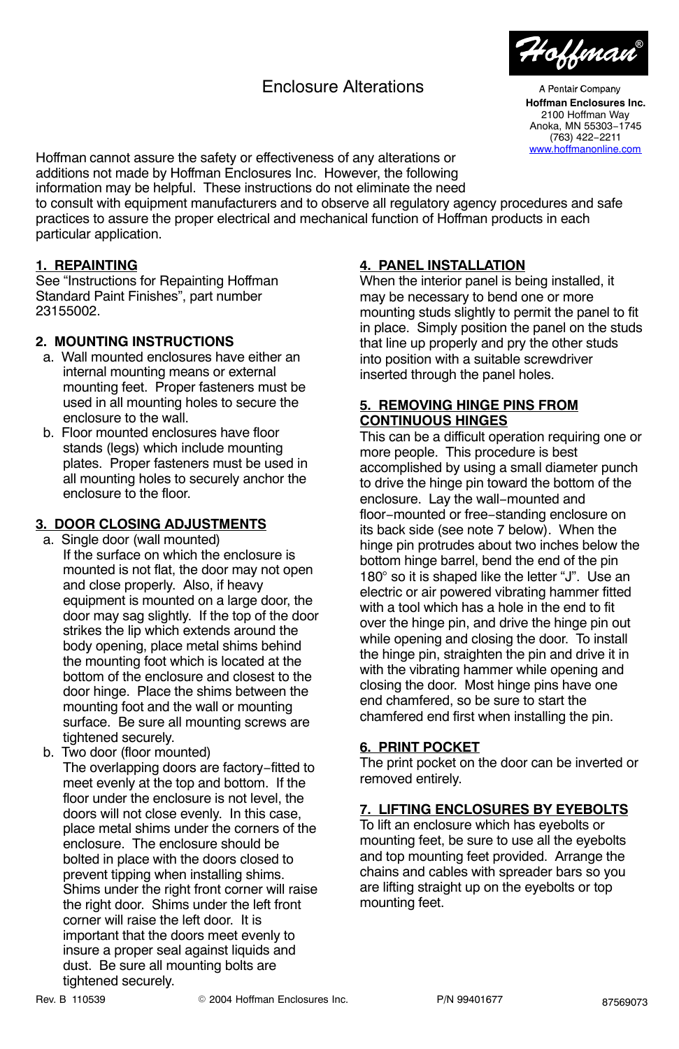# Enclosure Alterations



A Pentair Company **Hoffman Enclosures Inc.** 2100 Hoffman Way Anoka, MN 55303−1745 (763) 422−2211

Hoffman cannot assure the safety or effectiveness of any alterations or additions not made by Hoffman Enclosures Inc. However, the following information may be helpful. These instructions do not eliminate the need

to consult with equipment manufacturers and to observe all regulatory agency procedures and safe practices to assure the proper electrical and mechanical function of Hoffman products in each particular application.

### **1. REPAINTING**

See "Instructions for Repainting Hoffman Standard Paint Finishes", part number 23155002.

#### **2. MOUNTING INSTRUCTIONS**

- a. Wall mounted enclosures have either an internal mounting means or external mounting feet. Proper fasteners must be used in all mounting holes to secure the enclosure to the wall.
- b. Floor mounted enclosures have floor stands (legs) which include mounting plates. Proper fasteners must be used in all mounting holes to securely anchor the enclosure to the floor.

### **3. DOOR CLOSING ADJUSTMENTS**

a. Single door (wall mounted)

If the surface on which the enclosure is mounted is not flat, the door may not open and close properly. Also, if heavy equipment is mounted on a large door, the door may sag slightly. If the top of the door strikes the lip which extends around the body opening, place metal shims behind the mounting foot which is located at the bottom of the enclosure and closest to the door hinge. Place the shims between the mounting foot and the wall or mounting surface. Be sure all mounting screws are tightened securely.

 b. Two door (floor mounted) The overlapping doors are factory−fitted to meet evenly at the top and bottom. If the floor under the enclosure is not level, the doors will not close evenly. In this case, place metal shims under the corners of the enclosure. The enclosure should be bolted in place with the doors closed to prevent tipping when installing shims. Shims under the right front corner will raise the right door. Shims under the left front corner will raise the left door. It is important that the doors meet evenly to insure a proper seal against liquids and dust. Be sure all mounting bolts are tightened securely.

### **4. PANEL INSTALLATION**

When the interior panel is being installed, it may be necessary to bend one or more mounting studs slightly to permit the panel to fit in place. Simply position the panel on the studs that line up properly and pry the other studs into position with a suitable screwdriver inserted through the panel holes.

#### **5. REMOVING HINGE PINS FROM CONTINUOUS HINGES**

This can be a difficult operation requiring one or more people. This procedure is best accomplished by using a small diameter punch to drive the hinge pin toward the bottom of the enclosure. Lay the wall−mounted and floor−mounted or free−standing enclosure on its back side (see note 7 below). When the hinge pin protrudes about two inches below the bottom hinge barrel, bend the end of the pin 180° so it is shaped like the letter "J". Use an electric or air powered vibrating hammer fitted with a tool which has a hole in the end to fit over the hinge pin, and drive the hinge pin out while opening and closing the door. To install the hinge pin, straighten the pin and drive it in with the vibrating hammer while opening and closing the door. Most hinge pins have one end chamfered, so be sure to start the chamfered end first when installing the pin.

#### **6. PRINT POCKET**

The print pocket on the door can be inverted or removed entirely.

### **7. LIFTING ENCLOSURES BY EYEBOLTS**

To lift an enclosure which has eyebolts or mounting feet, be sure to use all the eyebolts and top mounting feet provided. Arrange the chains and cables with spreader bars so you are lifting straight up on the eyebolts or top mounting feet.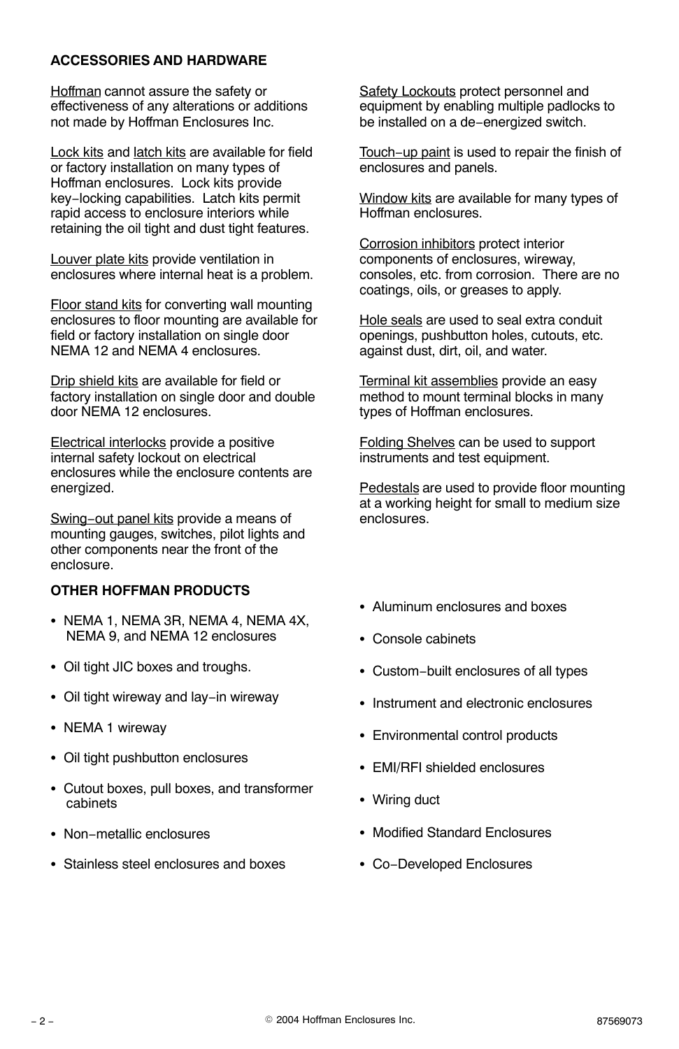### **ACCESSORIES AND HARDWARE**

Hoffman cannot assure the safety or effectiveness of any alterations or additions not made by Hoffman Enclosures Inc.

Lock kits and latch kits are available for field or factory installation on many types of Hoffman enclosures. Lock kits provide key−locking capabilities. Latch kits permit rapid access to enclosure interiors while retaining the oil tight and dust tight features.

Louver plate kits provide ventilation in enclosures where internal heat is a problem.

**Floor stand kits for converting wall mounting** enclosures to floor mounting are available for field or factory installation on single door NEMA 12 and NEMA 4 enclosures.

Drip shield kits are available for field or factory installation on single door and double door NEMA 12 enclosures.

Electrical interlocks provide a positive internal safety lockout on electrical enclosures while the enclosure contents are energized.

Swing−out panel kits provide a means of mounting gauges, switches, pilot lights and other components near the front of the enclosure.

#### **OTHER HOFFMAN PRODUCTS**

- NEMA 1, NEMA 3R, NEMA 4, NEMA 4X, NEMA 9, and NEMA 12 enclosures
- Oil tight JIC boxes and troughs.
- Oil tight wireway and lay−in wireway
- NEMA 1 wireway
- Oil tight pushbutton enclosures
- Cutout boxes, pull boxes, and transformer cabinets
- Non−metallic enclosures
- Stainless steel enclosures and boxes

**Safety Lockouts protect personnel and** equipment by enabling multiple padlocks to be installed on a de−energized switch.

Touch−up paint is used to repair the finish of enclosures and panels.

Window kits are available for many types of Hoffman enclosures.

Corrosion inhibitors protect interior components of enclosures, wireway, consoles, etc. from corrosion. There are no coatings, oils, or greases to apply.

Hole seals are used to seal extra conduit openings, pushbutton holes, cutouts, etc. against dust, dirt, oil, and water.

Terminal kit assemblies provide an easy method to mount terminal blocks in many types of Hoffman enclosures.

Folding Shelves can be used to support instruments and test equipment.

Pedestals are used to provide floor mounting at a working height for small to medium size enclosures.

- Aluminum enclosures and boxes
- Console cabinets
- Custom−built enclosures of all types
- Instrument and electronic enclosures
- Environmental control products
- EMI/RFI shielded enclosures
- Wiring duct
- Modified Standard Enclosures
- Co−Developed Enclosures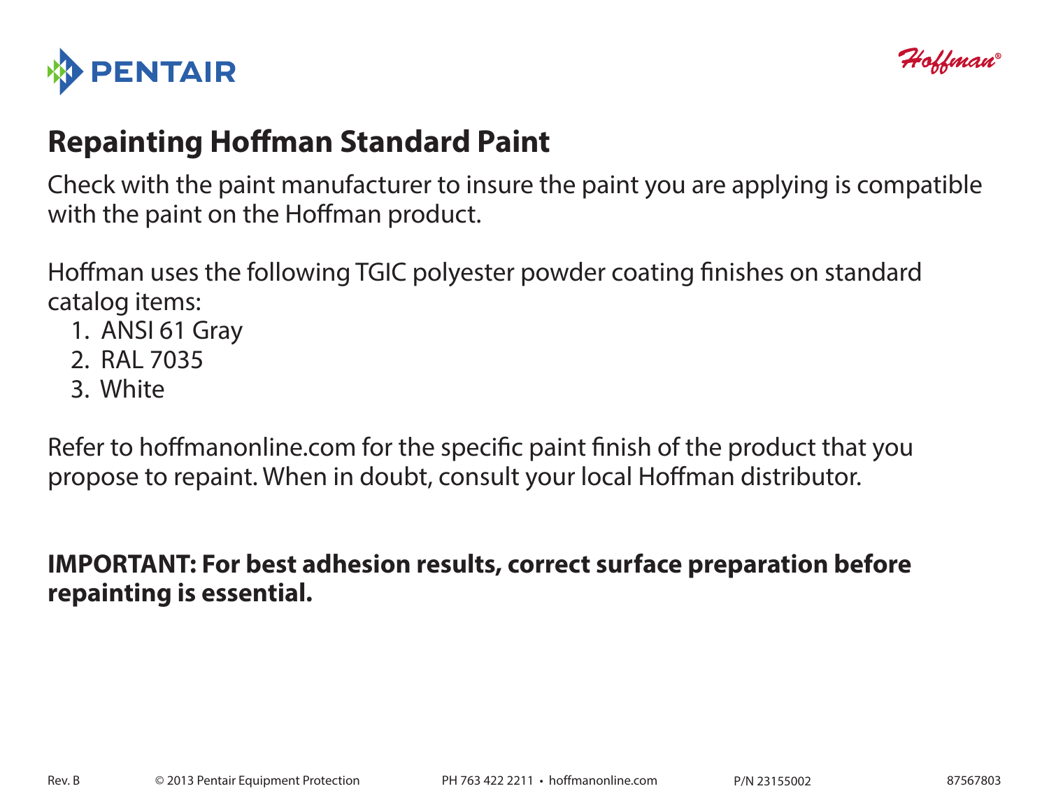



# **Repainting Hoffman Standard Paint**

Check with the paint manufacturer to insure the paint you are applying is compatible with the paint on the Hoffman product.

Hoffman uses the following TGIC polyester powder coating finishes on standard catalog items:

- 1. ANSI 61 Gray
- 2. RAL 7035
- 3. White

Refer to hoffmanonline.com for the specific paint finish of the product that you propose to repaint. When in doubt, consult your local Hoffman distributor.

# **IMPORTANT: For best adhesion results, correct surface preparation before repainting is essential.**